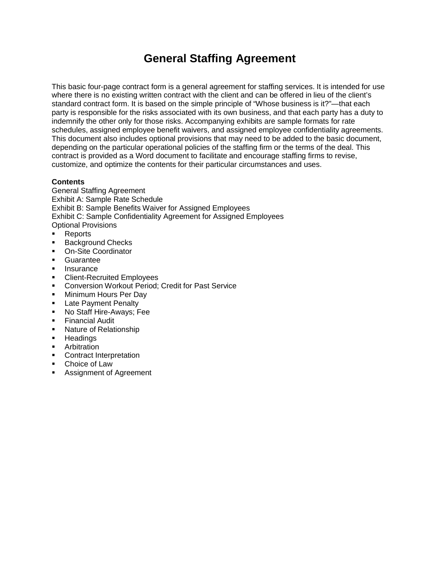# **General Staffing Agreement**

This basic four-page contract form is a general agreement for staffing services. It is intended for use where there is no existing written contract with the client and can be offered in lieu of the client's standard contract form. It is based on the simple principle of "Whose business is it?"—that each party is responsible for the risks associated with its own business, and that each party has a duty to indemnify the other only for those risks. Accompanying exhibits are sample formats for rate schedules, assigned employee benefit waivers, and assigned employee confidentiality agreements. This document also includes optional provisions that may need to be added to the basic document, depending on the particular operational policies of the staffing firm or the terms of the deal. This contract is provided as a Word document to facilitate and encourage staffing firms to revise, customize, and optimize the contents for their particular circumstances and uses.

## **Contents**

General Staffing Agreement Exhibit A: Sample Rate Schedule Exhibit B: Sample Benefits Waiver for Assigned Employees Exhibit C: Sample Confidentiality Agreement for Assigned Employees Optional Provisions

- Reports
- **Background Checks**
- **On-Site Coordinator**
- **Guarantee**
- **Insurance**
- **EXECLE** Client-Recruited Employees
- **EXECONVERSION Workout Period; Credit for Past Service**
- **Minimum Hours Per Day**
- **Late Payment Penalty**
- **No Staff Hire-Aways; Fee**
- **Financial Audit**
- Nature of Relationship
- **Headings**
- **Arbitration**
- **Contract Interpretation**
- Choice of Law
- **Assignment of Agreement**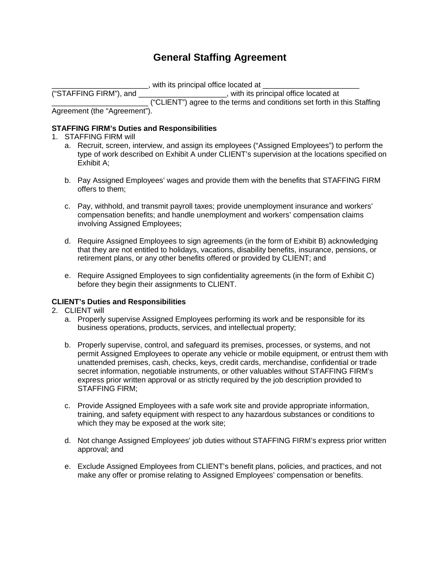# **General Staffing Agreement**

\_\_\_\_\_\_\_\_\_\_\_\_\_\_\_\_\_\_\_\_\_, with its principal office located at \_\_\_\_\_\_\_\_\_\_\_\_\_\_\_\_\_\_\_\_\_<br>"STAFFING FIRM"), and

 $\Box$ , with its principal office located at

\_\_\_\_\_\_\_\_\_\_\_\_\_\_\_\_\_\_\_\_\_\_\_ ("CLIENT") agree to the terms and conditions set forth in this Staffing Agreement (the "Agreement").

## **STAFFING FIRM's Duties and Responsibilities**

- 1. STAFFING FIRM will
	- a. Recruit, screen, interview, and assign its employees ("Assigned Employees") to perform the type of work described on Exhibit A under CLIENT's supervision at the locations specified on Exhibit A;
	- b. Pay Assigned Employees' wages and provide them with the benefits that STAFFING FIRM offers to them;
	- c. Pay, withhold, and transmit payroll taxes; provide unemployment insurance and workers' compensation benefits; and handle unemployment and workers' compensation claims involving Assigned Employees;
	- d. Require Assigned Employees to sign agreements (in the form of Exhibit B) acknowledging that they are not entitled to holidays, vacations, disability benefits, insurance, pensions, or retirement plans, or any other benefits offered or provided by CLIENT; and
	- e. Require Assigned Employees to sign confidentiality agreements (in the form of Exhibit C) before they begin their assignments to CLIENT.

### **CLIENT's Duties and Responsibilities**

- 2. CLIENT will
	- a. Properly supervise Assigned Employees performing its work and be responsible for its business operations, products, services, and intellectual property;
	- b. Properly supervise, control, and safeguard its premises, processes, or systems, and not permit Assigned Employees to operate any vehicle or mobile equipment, or entrust them with unattended premises, cash, checks, keys, credit cards, merchandise, confidential or trade secret information, negotiable instruments, or other valuables without STAFFING FIRM's express prior written approval or as strictly required by the job description provided to STAFFING FIRM;
	- c. Provide Assigned Employees with a safe work site and provide appropriate information, training, and safety equipment with respect to any hazardous substances or conditions to which they may be exposed at the work site;
	- d. Not change Assigned Employees' job duties without STAFFING FIRM's express prior written approval; and
	- e. Exclude Assigned Employees from CLIENT's benefit plans, policies, and practices, and not make any offer or promise relating to Assigned Employees' compensation or benefits.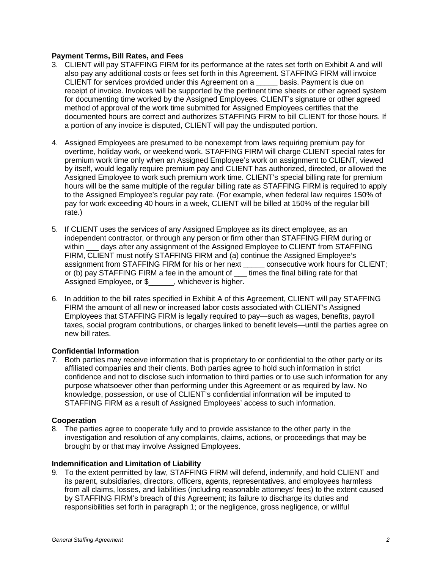## **Payment Terms, Bill Rates, and Fees**

- 3. CLIENT will pay STAFFING FIRM for its performance at the rates set forth on Exhibit A and will also pay any additional costs or fees set forth in this Agreement. STAFFING FIRM will invoice CLIENT for services provided under this Agreement on a \_\_\_\_\_ basis. Payment is due on receipt of invoice. Invoices will be supported by the pertinent time sheets or other agreed system for documenting time worked by the Assigned Employees. CLIENT's signature or other agreed method of approval of the work time submitted for Assigned Employees certifies that the documented hours are correct and authorizes STAFFING FIRM to bill CLIENT for those hours. If a portion of any invoice is disputed, CLIENT will pay the undisputed portion.
- 4. Assigned Employees are presumed to be nonexempt from laws requiring premium pay for overtime, holiday work, or weekend work. STAFFING FIRM will charge CLIENT special rates for premium work time only when an Assigned Employee's work on assignment to CLIENT, viewed by itself, would legally require premium pay and CLIENT has authorized, directed, or allowed the Assigned Employee to work such premium work time. CLIENT's special billing rate for premium hours will be the same multiple of the regular billing rate as STAFFING FIRM is required to apply to the Assigned Employee's regular pay rate. (For example, when federal law requires 150% of pay for work exceeding 40 hours in a week, CLIENT will be billed at 150% of the regular bill rate.)
- 5. If CLIENT uses the services of any Assigned Employee as its direct employee, as an independent contractor, or through any person or firm other than STAFFING FIRM during or within days after any assignment of the Assigned Employee to CLIENT from STAFFING FIRM, CLIENT must notify STAFFING FIRM and (a) continue the Assigned Employee's assignment from STAFFING FIRM for his or her next \_\_\_\_\_ consecutive work hours for CLIENT; or (b) pay STAFFING FIRM a fee in the amount of times the final billing rate for that Assigned Employee, or \$\_\_\_\_\_\_, whichever is higher.
- 6. In addition to the bill rates specified in Exhibit A of this Agreement, CLIENT will pay STAFFING FIRM the amount of all new or increased labor costs associated with CLIENT's Assigned Employees that STAFFING FIRM is legally required to pay—such as wages, benefits, payroll taxes, social program contributions, or charges linked to benefit levels—until the parties agree on new bill rates.

#### **Confidential Information**

7. Both parties may receive information that is proprietary to or confidential to the other party or its affiliated companies and their clients. Both parties agree to hold such information in strict confidence and not to disclose such information to third parties or to use such information for any purpose whatsoever other than performing under this Agreement or as required by law. No knowledge, possession, or use of CLIENT's confidential information will be imputed to STAFFING FIRM as a result of Assigned Employees' access to such information.

#### **Cooperation**

8. The parties agree to cooperate fully and to provide assistance to the other party in the investigation and resolution of any complaints, claims, actions, or proceedings that may be brought by or that may involve Assigned Employees.

#### **Indemnification and Limitation of Liability**

9. To the extent permitted by law, STAFFING FIRM will defend, indemnify, and hold CLIENT and its parent, subsidiaries, directors, officers, agents, representatives, and employees harmless from all claims, losses, and liabilities (including reasonable attorneys' fees) to the extent caused by STAFFING FIRM's breach of this Agreement; its failure to discharge its duties and responsibilities set forth in paragraph 1; or the negligence, gross negligence, or willful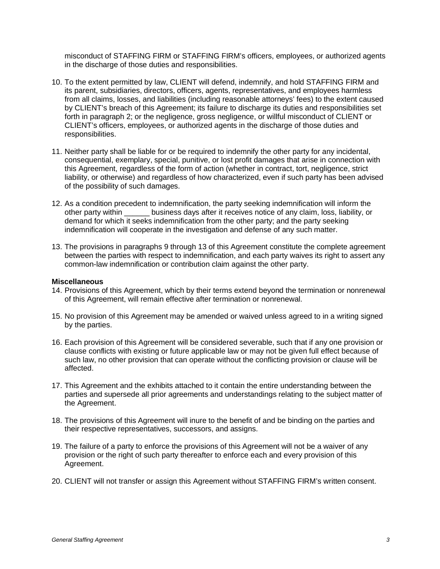misconduct of STAFFING FIRM or STAFFING FIRM's officers, employees, or authorized agents in the discharge of those duties and responsibilities.

- 10. To the extent permitted by law, CLIENT will defend, indemnify, and hold STAFFING FIRM and its parent, subsidiaries, directors, officers, agents, representatives, and employees harmless from all claims, losses, and liabilities (including reasonable attorneys' fees) to the extent caused by CLIENT's breach of this Agreement; its failure to discharge its duties and responsibilities set forth in paragraph 2; or the negligence, gross negligence, or willful misconduct of CLIENT or CLIENT's officers, employees, or authorized agents in the discharge of those duties and responsibilities.
- 11. Neither party shall be liable for or be required to indemnify the other party for any incidental, consequential, exemplary, special, punitive, or lost profit damages that arise in connection with this Agreement, regardless of the form of action (whether in contract, tort, negligence, strict liability, or otherwise) and regardless of how characterized, even if such party has been advised of the possibility of such damages.
- 12. As a condition precedent to indemnification, the party seeking indemnification will inform the other party within \_\_\_\_\_\_ business days after it receives notice of any claim, loss, liability, or demand for which it seeks indemnification from the other party; and the party seeking indemnification will cooperate in the investigation and defense of any such matter.
- 13. The provisions in paragraphs 9 through 13 of this Agreement constitute the complete agreement between the parties with respect to indemnification, and each party waives its right to assert any common-law indemnification or contribution claim against the other party.

#### **Miscellaneous**

- 14. Provisions of this Agreement, which by their terms extend beyond the termination or nonrenewal of this Agreement, will remain effective after termination or nonrenewal.
- 15. No provision of this Agreement may be amended or waived unless agreed to in a writing signed by the parties.
- 16. Each provision of this Agreement will be considered severable, such that if any one provision or clause conflicts with existing or future applicable law or may not be given full effect because of such law, no other provision that can operate without the conflicting provision or clause will be affected.
- 17. This Agreement and the exhibits attached to it contain the entire understanding between the parties and supersede all prior agreements and understandings relating to the subject matter of the Agreement.
- 18. The provisions of this Agreement will inure to the benefit of and be binding on the parties and their respective representatives, successors, and assigns.
- 19. The failure of a party to enforce the provisions of this Agreement will not be a waiver of any provision or the right of such party thereafter to enforce each and every provision of this Agreement.
- 20. CLIENT will not transfer or assign this Agreement without STAFFING FIRM's written consent.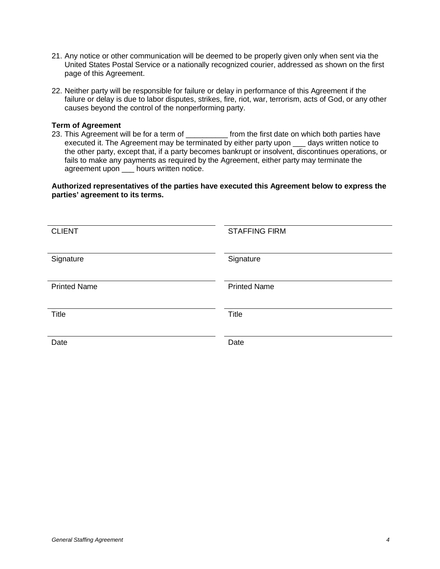- 21. Any notice or other communication will be deemed to be properly given only when sent via the United States Postal Service or a nationally recognized courier, addressed as shown on the first page of this Agreement.
- 22. Neither party will be responsible for failure or delay in performance of this Agreement if the failure or delay is due to labor disputes, strikes, fire, riot, war, terrorism, acts of God, or any other causes beyond the control of the nonperforming party.

#### **Term of Agreement**

23. This Agreement will be for a term of each of the first date on which both parties have executed it. The Agreement may be terminated by either party upon days written notice to the other party, except that, if a party becomes bankrupt or insolvent, discontinues operations, or fails to make any payments as required by the Agreement, either party may terminate the agreement upon \_\_\_ hours written notice.

**Authorized representatives of the parties have executed this Agreement below to express the parties' agreement to its terms.**

| <b>CLIENT</b>       | <b>STAFFING FIRM</b> |
|---------------------|----------------------|
| Signature           | Signature            |
| <b>Printed Name</b> | <b>Printed Name</b>  |
| Title               | Title                |
| Date                | Date                 |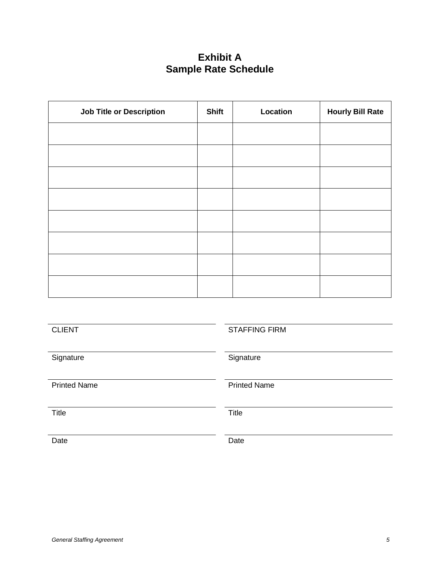# **Exhibit A Sample Rate Schedule**

| <b>Job Title or Description</b> | <b>Shift</b> | Location | <b>Hourly Bill Rate</b> |
|---------------------------------|--------------|----------|-------------------------|
|                                 |              |          |                         |
|                                 |              |          |                         |
|                                 |              |          |                         |
|                                 |              |          |                         |
|                                 |              |          |                         |
|                                 |              |          |                         |
|                                 |              |          |                         |
|                                 |              |          |                         |

| <b>CLIENT</b>       | <b>STAFFING FIRM</b> |
|---------------------|----------------------|
| Signature           | Signature            |
| <b>Printed Name</b> | <b>Printed Name</b>  |
| <b>Title</b>        | <b>Title</b>         |
| Date                | Date                 |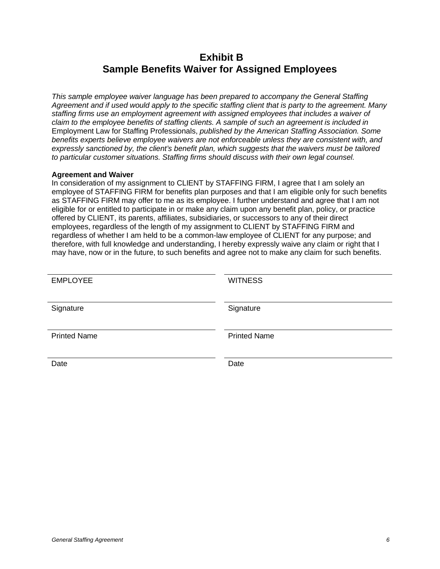# **Exhibit B Sample Benefits Waiver for Assigned Employees**

*This sample employee waiver language has been prepared to accompany the General Staffing Agreement and if used would apply to the specific staffing client that is party to the agreement. Many staffing firms use an employment agreement with assigned employees that includes a waiver of claim to the employee benefits of staffing clients. A sample of such an agreement is included in*  Employment Law for Staffing Professionals, *published by the American Staffing Association. Some benefits experts believe employee waivers are not enforceable unless they are consistent with, and expressly sanctioned by, the client's benefit plan, which suggests that the waivers must be tailored to particular customer situations. Staffing firms should discuss with their own legal counsel.*

### **Agreement and Waiver**

In consideration of my assignment to CLIENT by STAFFING FIRM, I agree that I am solely an employee of STAFFING FIRM for benefits plan purposes and that I am eligible only for such benefits as STAFFING FIRM may offer to me as its employee. I further understand and agree that I am not eligible for or entitled to participate in or make any claim upon any benefit plan, policy, or practice offered by CLIENT, its parents, affiliates, subsidiaries, or successors to any of their direct employees, regardless of the length of my assignment to CLIENT by STAFFING FIRM and regardless of whether I am held to be a common-law employee of CLIENT for any purpose; and therefore, with full knowledge and understanding, I hereby expressly waive any claim or right that I may have, now or in the future, to such benefits and agree not to make any claim for such benefits.

| <b>EMPLOYEE</b>     | <b>WITNESS</b>      |
|---------------------|---------------------|
| Signature           | Signature           |
| <b>Printed Name</b> | <b>Printed Name</b> |
| Date                | Date                |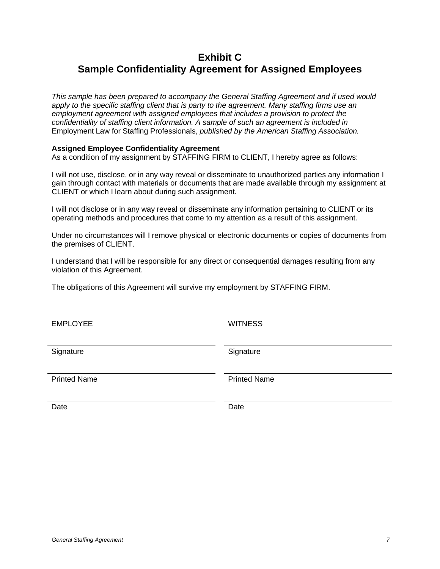# **Exhibit C Sample Confidentiality Agreement for Assigned Employees**

*This sample has been prepared to accompany the General Staffing Agreement and if used would apply to the specific staffing client that is party to the agreement. Many staffing firms use an employment agreement with assigned employees that includes a provision to protect the confidentiality of staffing client information. A sample of such an agreement is included in*  Employment Law for Staffing Professionals, *published by the American Staffing Association.*

## **Assigned Employee Confidentiality Agreement**

As a condition of my assignment by STAFFING FIRM to CLIENT, I hereby agree as follows:

I will not use, disclose, or in any way reveal or disseminate to unauthorized parties any information I gain through contact with materials or documents that are made available through my assignment at CLIENT or which I learn about during such assignment.

I will not disclose or in any way reveal or disseminate any information pertaining to CLIENT or its operating methods and procedures that come to my attention as a result of this assignment.

Under no circumstances will I remove physical or electronic documents or copies of documents from the premises of CLIENT.

I understand that I will be responsible for any direct or consequential damages resulting from any violation of this Agreement.

The obligations of this Agreement will survive my employment by STAFFING FIRM.

EMPLOYEE WITNESS

Signature Signature Signature Signature

Printed Name **Printed Name** 

Date **Date Date Date Date Date**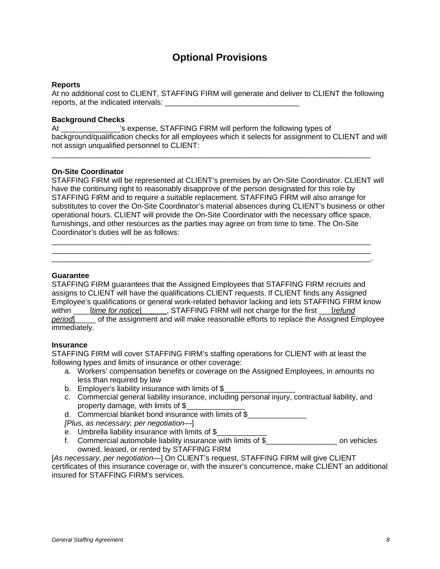## **Optional Provisions**

#### **Reports**

At no additional cost to CLIENT, STAFFING FIRM will generate and deliver to CLIENT the following reports, at the indicated intervals: \_\_\_\_\_\_\_\_\_\_\_\_\_\_\_\_\_\_\_\_\_\_\_\_\_\_\_\_\_\_\_\_

#### **Background Checks**

At \_\_\_\_\_\_\_\_\_\_\_\_\_\_'s expense, STAFFING FIRM will perform the following types of background/qualification checks for all employees which it selects for assignment to CLIENT and will not assign unqualified personnel to CLIENT:

\_\_\_\_\_\_\_\_\_\_\_\_\_\_\_\_\_\_\_\_\_\_\_\_\_\_\_\_\_\_\_\_\_\_\_\_\_\_\_\_\_\_\_\_\_\_\_\_\_\_\_\_\_\_\_\_\_\_\_\_\_\_\_\_\_\_\_\_\_\_\_\_\_\_\_\_

#### **On-Site Coordinator**

STAFFING FIRM will be represented at CLIENT's premises by an On-Site Coordinator. CLIENT will have the continuing right to reasonably disapprove of the person designated for this role by STAFFING FIRM and to require a suitable replacement. STAFFING FIRM will also arrange for substitutes to cover the On-Site Coordinator's material absences during CLIENT's business or other operational hours. CLIENT will provide the On-Site Coordinator with the necessary office space, furnishings, and other resources as the parties may agree on from time to time. The On-Site Coordinator's duties will be as follows:

\_\_\_\_\_\_\_\_\_\_\_\_\_\_\_\_\_\_\_\_\_\_\_\_\_\_\_\_\_\_\_\_\_\_\_\_\_\_\_\_\_\_\_\_\_\_\_\_\_\_\_\_\_\_\_\_\_\_\_\_\_\_\_\_\_\_\_\_\_\_\_\_\_\_\_\_ \_\_\_\_\_\_\_\_\_\_\_\_\_\_\_\_\_\_\_\_\_\_\_\_\_\_\_\_\_\_\_\_\_\_\_\_\_\_\_\_\_\_\_\_\_\_\_\_\_\_\_\_\_\_\_\_\_\_\_\_\_\_\_\_\_\_\_\_\_\_\_\_\_\_\_\_ \_\_\_\_\_\_\_\_\_\_\_\_\_\_\_\_\_\_\_\_\_\_\_\_\_\_\_\_\_\_\_\_\_\_\_\_\_\_\_\_\_\_\_\_\_\_\_\_\_\_\_\_\_\_\_\_\_\_\_\_\_\_\_\_\_\_\_\_\_\_\_\_\_\_\_\_.

#### **Guarantee**

STAFFING FIRM guarantees that the Assigned Employees that STAFFING FIRM recruits and assigns to CLIENT will have the qualifications CLIENT requests. If CLIENT finds any Assigned Employee's qualifications or general work-related behavior lacking and lets STAFFING FIRM know within  $[time for notice]$ , STAFFING FIRM will not charge for the first  $[refund]$ *period*]\_\_\_\_\_ of the assignment and will make reasonable efforts to replace the Assigned Employee immediately.

#### **Insurance**

STAFFING FIRM will cover STAFFING FIRM's staffing operations for CLIENT with at least the following types and limits of insurance or other coverage:

- a. Workers' compensation benefits or coverage on the Assigned Employees, in amounts no less than required by law
- b. Employer's liability insurance with limits of \$
- c. Commercial general liability insurance, including personal injury, contractual liability, and property damage, with limits of \$

d. Commercial blanket bond insurance with limits of \$

*[Plus, as necessary, per negotiation—*]

- e. Umbrella liability insurance with limits of \$\_\_\_\_\_\_\_\_\_\_\_\_
- f. Commercial automobile liability insurance with limits of \$\_\_\_\_\_\_\_\_\_\_\_\_\_\_\_\_\_ on vehicles owned, leased, or rented by STAFFING FIRM

[*As necessary, per negotiation—*] On CLIENT's request, STAFFING FIRM will give CLIENT certificates of this insurance coverage or, with the insurer's concurrence, make CLIENT an additional insured for STAFFING FIRM's services.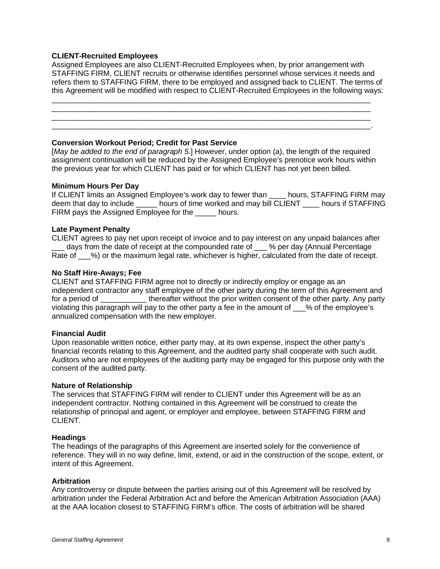#### **CLIENT-Recruited Employees**

Assigned Employees are also CLIENT-Recruited Employees when, by prior arrangement with STAFFING FIRM, CLIENT recruits or otherwise identifies personnel whose services it needs and refers them to STAFFING FIRM, there to be employed and assigned back to CLIENT. The terms of this Agreement will be modified with respect to CLIENT-Recruited Employees in the following ways:

\_\_\_\_\_\_\_\_\_\_\_\_\_\_\_\_\_\_\_\_\_\_\_\_\_\_\_\_\_\_\_\_\_\_\_\_\_\_\_\_\_\_\_\_\_\_\_\_\_\_\_\_\_\_\_\_\_\_\_\_\_\_\_\_\_\_\_\_\_\_\_\_\_\_\_\_ \_\_\_\_\_\_\_\_\_\_\_\_\_\_\_\_\_\_\_\_\_\_\_\_\_\_\_\_\_\_\_\_\_\_\_\_\_\_\_\_\_\_\_\_\_\_\_\_\_\_\_\_\_\_\_\_\_\_\_\_\_\_\_\_\_\_\_\_\_\_\_\_\_\_\_\_ \_\_\_\_\_\_\_\_\_\_\_\_\_\_\_\_\_\_\_\_\_\_\_\_\_\_\_\_\_\_\_\_\_\_\_\_\_\_\_\_\_\_\_\_\_\_\_\_\_\_\_\_\_\_\_\_\_\_\_\_\_\_\_\_\_\_\_\_\_\_\_\_\_\_\_\_ \_\_\_\_\_\_\_\_\_\_\_\_\_\_\_\_\_\_\_\_\_\_\_\_\_\_\_\_\_\_\_\_\_\_\_\_\_\_\_\_\_\_\_\_\_\_\_\_\_\_\_\_\_\_\_\_\_\_\_\_\_\_\_\_\_\_\_\_\_\_\_\_\_\_\_\_.

#### **Conversion Workout Period; Credit for Past Service**

[*May be added to the end of paragraph 5.*] However, under option (a), the length of the required assignment continuation will be reduced by the Assigned Employee's prenotice work hours within the previous year for which CLIENT has paid or for which CLIENT has not yet been billed.

#### **Minimum Hours Per Day**

If CLIENT limits an Assigned Employee's work day to fewer than hours, STAFFING FIRM mav deem that day to include \_\_\_\_\_\_ hours of time worked and may bill CLIENT \_\_\_\_ hours if STAFFING FIRM pays the Assigned Employee for the \_\_\_\_\_ hours.

#### **Late Payment Penalty**

CLIENT agrees to pay net upon receipt of invoice and to pay interest on any unpaid balances after days from the date of receipt at the compounded rate of \_\_\_ % per day (Annual Percentage Rate of  $\%$ ) or the maximum legal rate, whichever is higher, calculated from the date of receipt.

#### **No Staff Hire-Aways; Fee**

CLIENT and STAFFING FIRM agree not to directly or indirectly employ or engage as an independent contractor any staff employee of the other party during the term of this Agreement and for a period of \_\_\_\_\_\_\_\_\_\_\_\_\_\_ thereafter without the prior written consent of the other party. Any party violating this paragraph will pay to the other party a fee in the amount of \_\_\_% of the employee's annualized compensation with the new employer.

#### **Financial Audit**

Upon reasonable written notice, either party may, at its own expense, inspect the other party's financial records relating to this Agreement, and the audited party shall cooperate with such audit. Auditors who are not employees of the auditing party may be engaged for this purpose only with the consent of the audited party.

#### **Nature of Relationship**

The services that STAFFING FIRM will render to CLIENT under this Agreement will be as an independent contractor. Nothing contained in this Agreement will be construed to create the relationship of principal and agent, or employer and employee, between STAFFING FIRM and CLIENT.

#### **Headings**

The headings of the paragraphs of this Agreement are inserted solely for the convenience of reference. They will in no way define, limit, extend, or aid in the construction of the scope, extent, or intent of this Agreement.

#### **Arbitration**

Any controversy or dispute between the parties arising out of this Agreement will be resolved by arbitration under the Federal Arbitration Act and before the American Arbitration Association (AAA) at the AAA location closest to STAFFING FIRM's office. The costs of arbitration will be shared